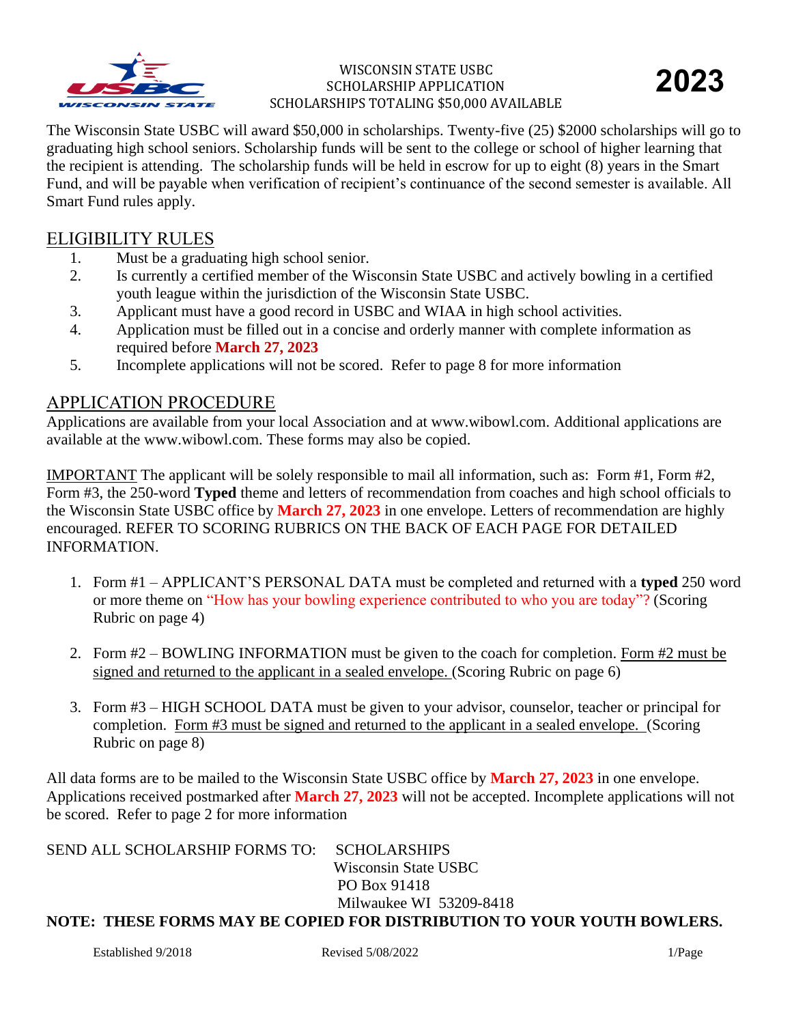

The Wisconsin State USBC will award \$50,000 in scholarships. Twenty-five (25) \$2000 scholarships will go to graduating high school seniors. Scholarship funds will be sent to the college or school of higher learning that the recipient is attending. The scholarship funds will be held in escrow for up to eight (8) years in the Smart Fund, and will be payable when verification of recipient's continuance of the second semester is available. All Smart Fund rules apply.

## ELIGIBILITY RULES

- 1. Must be a graduating high school senior.
- 2. Is currently a certified member of the Wisconsin State USBC and actively bowling in a certified youth league within the jurisdiction of the Wisconsin State USBC.
- 3. Applicant must have a good record in USBC and WIAA in high school activities.
- 4. Application must be filled out in a concise and orderly manner with complete information as required before **March 27, 2023**
- 5. Incomplete applications will not be scored. Refer to page 8 for more information

## APPLICATION PROCEDURE

Applications are available from your local Association and at www.wibowl.com. Additional applications are available at the www.wibowl.com. These forms may also be copied.

IMPORTANT The applicant will be solely responsible to mail all information, such as: Form #1, Form #2, Form #3, the 250-word **Typed** theme and letters of recommendation from coaches and high school officials to the Wisconsin State USBC office by **March 27, 2023** in one envelope. Letters of recommendation are highly encouraged. REFER TO SCORING RUBRICS ON THE BACK OF EACH PAGE FOR DETAILED INFORMATION.

- 1. Form #1 APPLICANT'S PERSONAL DATA must be completed and returned with a **typed** 250 word or more theme on "How has your bowling experience contributed to who you are today"? (Scoring Rubric on page 4)
- 2. Form #2 BOWLING INFORMATION must be given to the coach for completion. Form #2 must be signed and returned to the applicant in a sealed envelope. (Scoring Rubric on page 6)
- 3. Form #3 HIGH SCHOOL DATA must be given to your advisor, counselor, teacher or principal for completion. Form #3 must be signed and returned to the applicant in a sealed envelope. (Scoring Rubric on page 8)

All data forms are to be mailed to the Wisconsin State USBC office by **March 27, 2023** in one envelope. Applications received postmarked after **March 27, 2023** will not be accepted. Incomplete applications will not be scored. Refer to page 2 for more information

| SEND ALL SCHOLARSHIP FORMS TO: SCHOLARSHIPS |                                                                         |
|---------------------------------------------|-------------------------------------------------------------------------|
|                                             | Wisconsin State USBC                                                    |
|                                             | PO Box 91418                                                            |
|                                             | Milwaukee WI 53209-8418                                                 |
|                                             | NOTE: THESE FORMS MAY BE COPIED FOR DISTRIBUTION TO YOUR YOUTH BOWLERS. |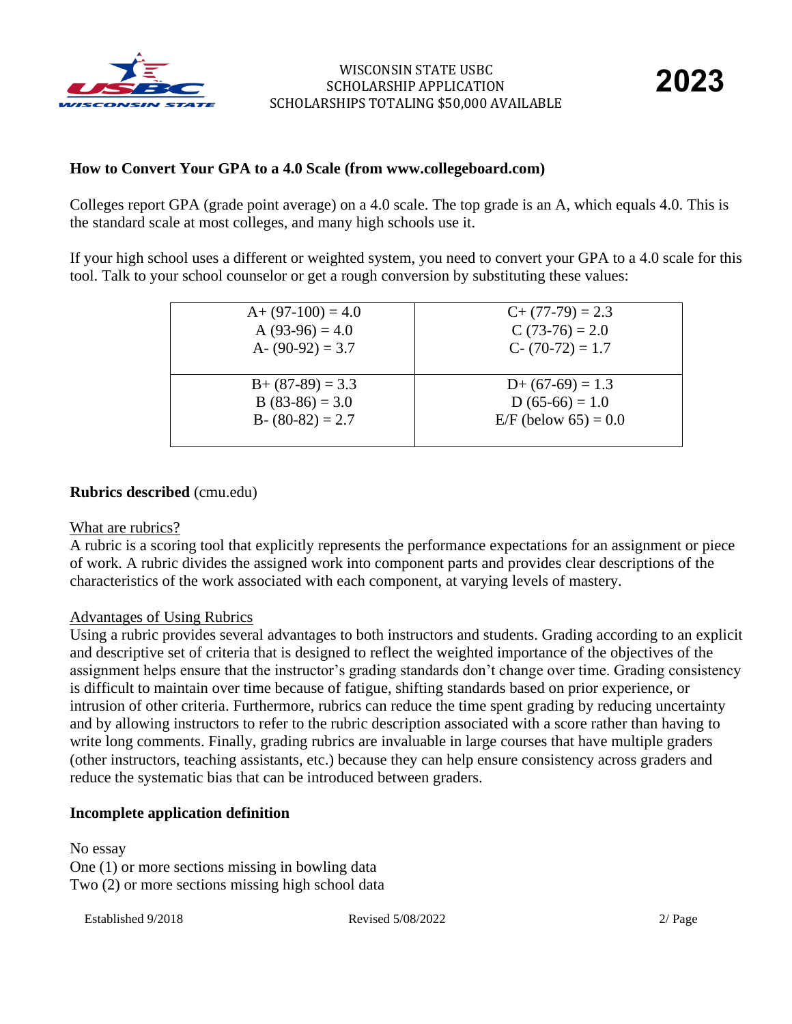

### **How to Convert Your GPA to a 4.0 Scale (from www.collegeboard.com)**

Colleges report GPA (grade point average) on a 4.0 scale. The top grade is an A, which equals 4.0. This is the standard scale at most colleges, and many high schools use it.

If your high school uses a different or weighted system, you need to convert your GPA to a 4.0 scale for this tool. Talk to your school counselor or get a rough conversion by substituting these values:

| $A+ (97-100) = 4.0$ | $C+(77-79)=2.3$        |
|---------------------|------------------------|
| A $(93-96) = 4.0$   | $C(73-76) = 2.0$       |
| A- $(90-92) = 3.7$  | $C - (70-72) = 1.7$    |
| $B + (87-89) = 3.3$ | $D+(67-69)=1.3$        |
| $B(83-86) = 3.0$    | $D(65-66) = 1.0$       |
| $B - (80-82) = 2.7$ | $E/F$ (below 65) = 0.0 |

### **Rubrics described** (cmu.edu)

#### What are rubrics?

A rubric is a scoring tool that explicitly represents the performance expectations for an assignment or piece of work. A rubric divides the assigned work into component parts and provides clear descriptions of the characteristics of the work associated with each component, at varying levels of mastery.

#### Advantages of Using Rubrics

Using a rubric provides several advantages to both instructors and students. Grading according to an explicit and descriptive set of criteria that is designed to reflect the weighted importance of the objectives of the assignment helps ensure that the instructor's grading standards don't change over time. Grading consistency is difficult to maintain over time because of fatigue, shifting standards based on prior experience, or intrusion of other criteria. Furthermore, rubrics can reduce the time spent grading by reducing uncertainty and by allowing instructors to refer to the rubric description associated with a score rather than having to write long comments. Finally, grading rubrics are invaluable in large courses that have multiple graders (other instructors, teaching assistants, etc.) because they can help ensure consistency across graders and reduce the systematic bias that can be introduced between graders.

### **Incomplete application definition**

No essay One (1) or more sections missing in bowling data Two (2) or more sections missing high school data

Established 9/2018 **Revised 5/08/2022** 2/ Page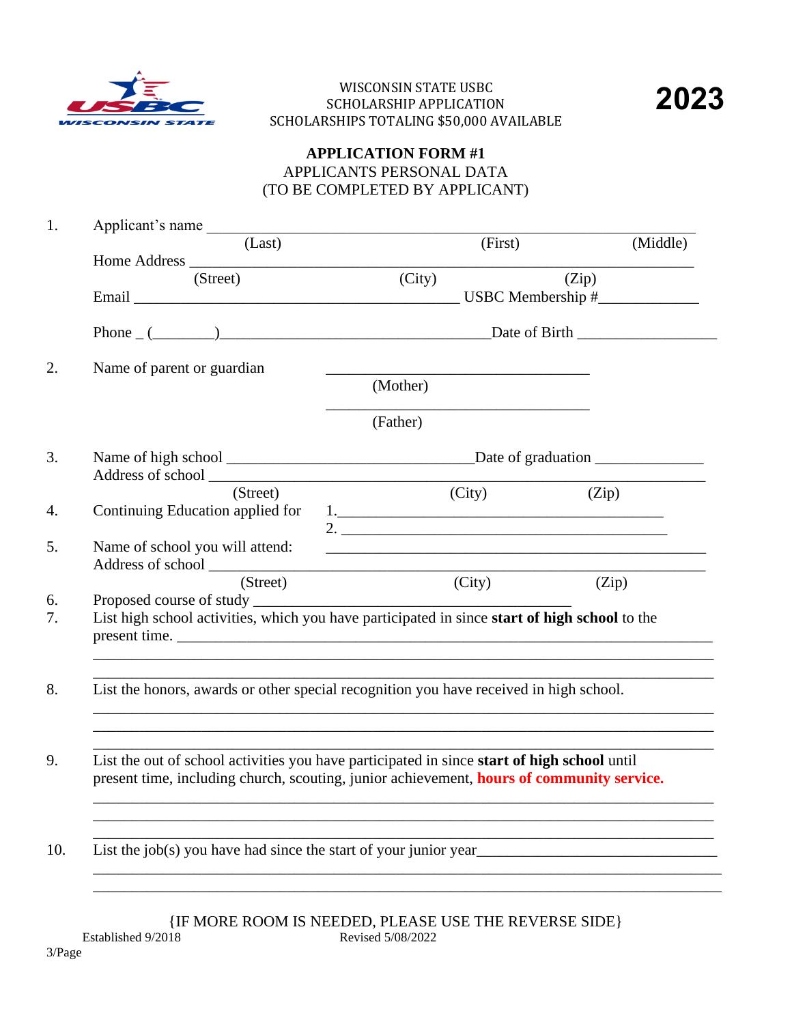



## **APPLICATION FORM #1** APPLICANTS PERSONAL DATA (TO BE COMPLETED BY APPLICANT)

| Applicant's name                 |                                                                                                                                                                                          |          |
|----------------------------------|------------------------------------------------------------------------------------------------------------------------------------------------------------------------------------------|----------|
| (Last)                           | (First)                                                                                                                                                                                  | (Middle) |
| (Street)                         | (City)                                                                                                                                                                                   | (Zip)    |
|                                  |                                                                                                                                                                                          |          |
|                                  | Phone $(\_\_)$                                                                                                                                                                           |          |
| Name of parent or guardian       |                                                                                                                                                                                          |          |
|                                  | (Mother)                                                                                                                                                                                 |          |
|                                  | (Father)                                                                                                                                                                                 |          |
|                                  |                                                                                                                                                                                          |          |
| (Street)                         | (City)                                                                                                                                                                                   | (Zip)    |
| Continuing Education applied for | 2.                                                                                                                                                                                       |          |
| Name of school you will attend:  | <u> 1989 - Johann Stoff, amerikansk politiker (* 1908)</u>                                                                                                                               |          |
|                                  |                                                                                                                                                                                          |          |
| (Street)                         | (City)                                                                                                                                                                                   | (Zip)    |
|                                  | List high school activities, which you have participated in since start of high school to the<br>present time.                                                                           |          |
|                                  | List the honors, awards or other special recognition you have received in high school.                                                                                                   |          |
|                                  | List the out of school activities you have participated in since start of high school until<br>present time, including church, scouting, junior achievement, hours of community service. |          |
|                                  |                                                                                                                                                                                          |          |

 $\{$  IF MORE ROOM IS NEEDED, PLEASE USE THE REVERSE SIDE  $\}$  Revised 5/08/2022 Established 9/2018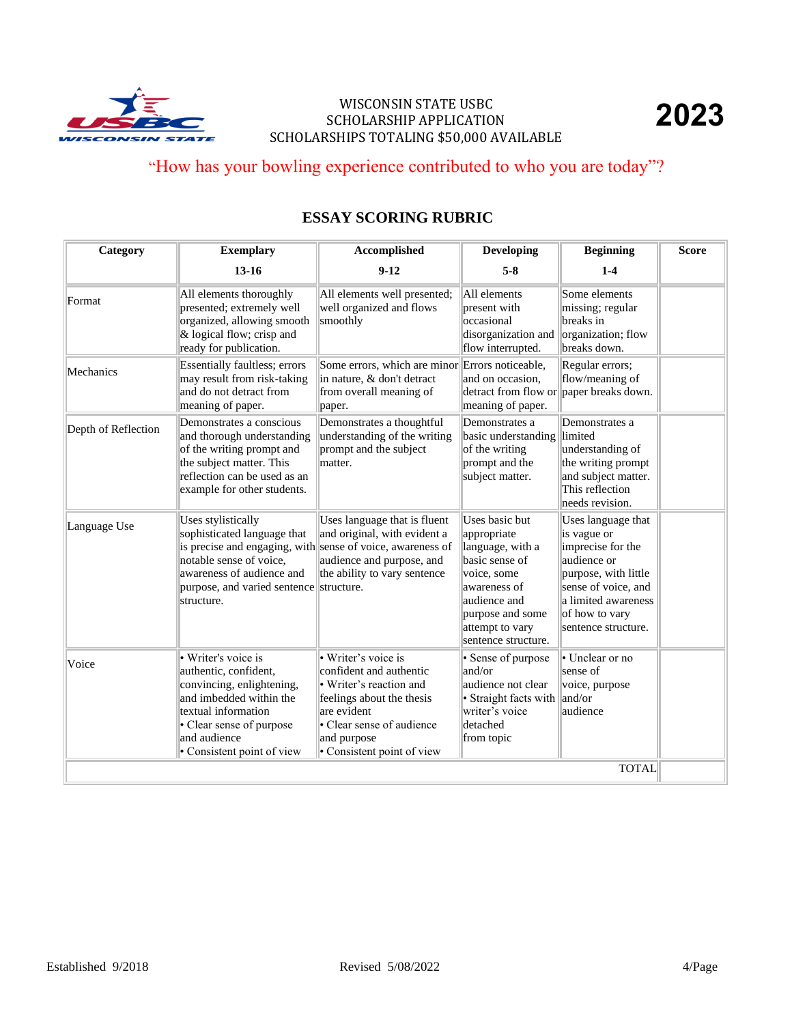

# "How has your bowling experience contributed to who you are today"?

# **ESSAY SCORING RUBRIC**

| Category            | <b>Exemplary</b>                                                                                                                                                                                      | Accomplished                                                                                                                                                                                    | <b>Developing</b>                                                                                                                                                                | <b>Beginning</b>                                                                                                                                                                     | <b>Score</b> |
|---------------------|-------------------------------------------------------------------------------------------------------------------------------------------------------------------------------------------------------|-------------------------------------------------------------------------------------------------------------------------------------------------------------------------------------------------|----------------------------------------------------------------------------------------------------------------------------------------------------------------------------------|--------------------------------------------------------------------------------------------------------------------------------------------------------------------------------------|--------------|
|                     | $13 - 16$                                                                                                                                                                                             | $9-12$                                                                                                                                                                                          | $5 - 8$                                                                                                                                                                          | $1-4$                                                                                                                                                                                |              |
| Format              | All elements thoroughly<br>presented; extremely well<br>organized, allowing smooth<br>& logical flow; crisp and<br>ready for publication.                                                             | All elements well presented;<br>well organized and flows<br>smoothly                                                                                                                            | All elements<br>present with<br>occasional<br>disorganization and<br>flow interrupted.                                                                                           | Some elements<br>missing; regular<br>breaks in<br>organization; flow<br>breaks down.                                                                                                 |              |
| Mechanics           | <b>Essentially faultless; errors</b><br>may result from risk-taking<br>and do not detract from<br>meaning of paper.                                                                                   | Some errors, which are minor Errors noticeable,<br>in nature, & don't detract<br>from overall meaning of<br>paper.                                                                              | and on occasion.<br>detract from flow or paper breaks down.<br>meaning of paper.                                                                                                 | Regular errors;<br>flow/meaning of                                                                                                                                                   |              |
| Depth of Reflection | Demonstrates a conscious<br>and thorough understanding<br>of the writing prompt and<br>the subject matter. This<br>reflection can be used as an<br>example for other students.                        | Demonstrates a thoughtful<br>understanding of the writing<br>prompt and the subject<br>matter.                                                                                                  | Demonstrates a<br>basic understanding<br>of the writing<br>prompt and the<br>subject matter.                                                                                     | Demonstrates a<br>limited<br>understanding of<br>the writing prompt<br>and subject matter.<br>This reflection<br>needs revision.                                                     |              |
| Language Use        | Uses stylistically<br>sophisticated language that<br>is precise and engaging, with<br>notable sense of voice,<br>awareness of audience and<br>purpose, and varied sentence<br>structure.              | Uses language that is fluent<br>and original, with evident a<br>sense of voice, awareness of<br>audience and purpose, and<br>the ability to vary sentence<br>structure.                         | Uses basic but<br>appropriate<br>language, with a<br>basic sense of<br>voice, some<br>awareness of<br>audience and<br>purpose and some<br>attempt to vary<br>sentence structure. | Uses language that<br>is vague or<br>imprecise for the<br>audience or<br>purpose, with little<br>sense of voice, and<br>a limited awareness<br>of how to vary<br>sentence structure. |              |
| Voice               | • Writer's voice is<br>authentic, confident,<br>convincing, enlightening,<br>and imbedded within the<br>textual information<br>• Clear sense of purpose<br>and audience<br>• Consistent point of view | • Writer's voice is<br>confident and authentic<br>• Writer's reaction and<br>feelings about the thesis<br>are evident<br>• Clear sense of audience<br>and purpose<br>• Consistent point of view | · Sense of purpose<br>and/or<br>audience not clear<br>· Straight facts with<br>writer's voice<br>detached<br>from topic                                                          | • Unclear or no<br>sense of<br>voice, purpose<br>and/or<br>audience                                                                                                                  |              |
|                     |                                                                                                                                                                                                       |                                                                                                                                                                                                 |                                                                                                                                                                                  | <b>TOTAL</b>                                                                                                                                                                         |              |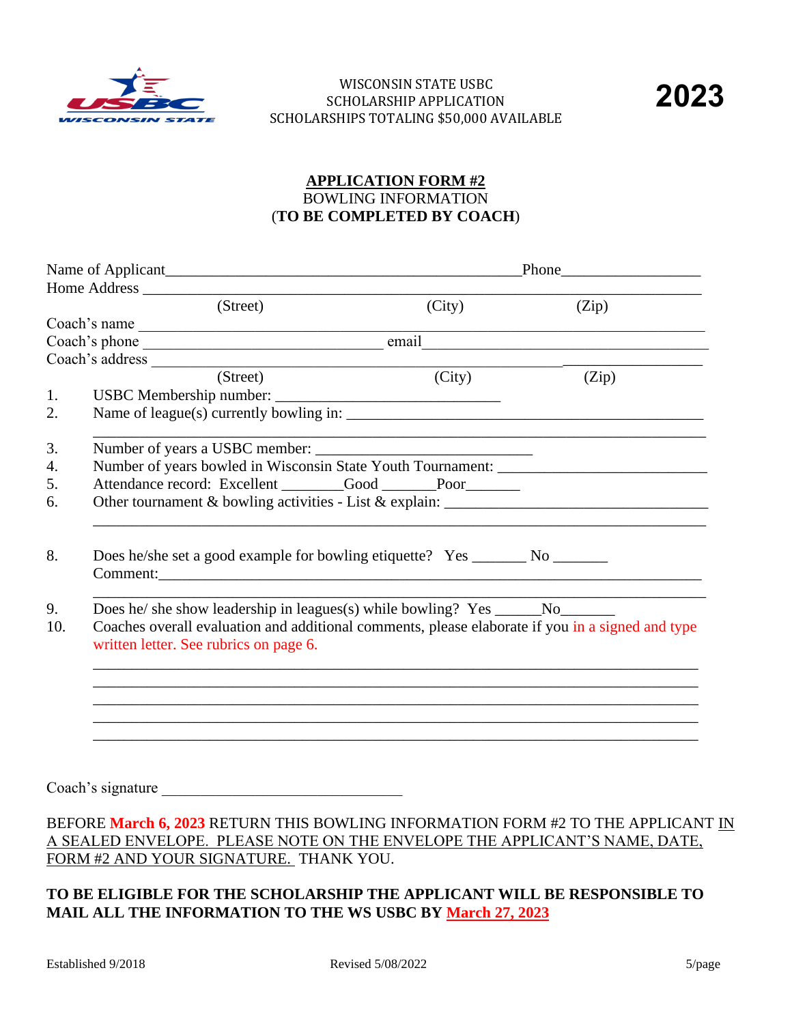

## **APPLICATION FORM #2** BOWLING INFORMATION (**TO BE COMPLETED BY COACH**)

|     | Home Address <u>and the second second second</u> second second second second second second second second second second second second second second second second second second second second second second second second second sec |                                                                                                                       |                                                                                           |  |  |
|-----|-------------------------------------------------------------------------------------------------------------------------------------------------------------------------------------------------------------------------------------|-----------------------------------------------------------------------------------------------------------------------|-------------------------------------------------------------------------------------------|--|--|
|     | (Street)                                                                                                                                                                                                                            | (City)                                                                                                                | (Zip)                                                                                     |  |  |
|     | Coach's name                                                                                                                                                                                                                        |                                                                                                                       | the control of the control of the control of the control of the control of the control of |  |  |
|     |                                                                                                                                                                                                                                     |                                                                                                                       |                                                                                           |  |  |
|     | Coach's address $\overline{\hspace{1cm}1}$                                                                                                                                                                                          |                                                                                                                       |                                                                                           |  |  |
|     | (Street)                                                                                                                                                                                                                            | (City)                                                                                                                | (Zip)                                                                                     |  |  |
| 1.  |                                                                                                                                                                                                                                     |                                                                                                                       |                                                                                           |  |  |
| 2.  |                                                                                                                                                                                                                                     |                                                                                                                       |                                                                                           |  |  |
| 3.  |                                                                                                                                                                                                                                     | <u> 1989 - Johann Harry Harry Harry Harry Harry Harry Harry Harry Harry Harry Harry Harry Harry Harry Harry Harry</u> |                                                                                           |  |  |
| 4.  | Number of years bowled in Wisconsin State Youth Tournament: _____________________                                                                                                                                                   |                                                                                                                       |                                                                                           |  |  |
| 5.  | Attendance record: Excellent _______Good _____Poor______                                                                                                                                                                            |                                                                                                                       |                                                                                           |  |  |
| 6.  |                                                                                                                                                                                                                                     |                                                                                                                       |                                                                                           |  |  |
| 8.  | Does he/she set a good example for bowling etiquette? Yes ________ No ________                                                                                                                                                      |                                                                                                                       |                                                                                           |  |  |
| 9.  |                                                                                                                                                                                                                                     |                                                                                                                       |                                                                                           |  |  |
| 10. | Coaches overall evaluation and additional comments, please elaborate if you in a signed and type<br>written letter. See rubrics on page 6.                                                                                          |                                                                                                                       |                                                                                           |  |  |
|     |                                                                                                                                                                                                                                     |                                                                                                                       |                                                                                           |  |  |
|     |                                                                                                                                                                                                                                     |                                                                                                                       |                                                                                           |  |  |
|     |                                                                                                                                                                                                                                     |                                                                                                                       |                                                                                           |  |  |
|     |                                                                                                                                                                                                                                     |                                                                                                                       |                                                                                           |  |  |
|     |                                                                                                                                                                                                                                     |                                                                                                                       |                                                                                           |  |  |
|     | Coach's signature                                                                                                                                                                                                                   |                                                                                                                       |                                                                                           |  |  |
|     |                                                                                                                                                                                                                                     |                                                                                                                       |                                                                                           |  |  |

## BEFORE **March 6, 2023** RETURN THIS BOWLING INFORMATION FORM #2 TO THE APPLICANT IN A SEALED ENVELOPE. PLEASE NOTE ON THE ENVELOPE THE APPLICANT'S NAME, DATE, FORM #2 AND YOUR SIGNATURE. THANK YOU.

## **TO BE ELIGIBLE FOR THE SCHOLARSHIP THE APPLICANT WILL BE RESPONSIBLE TO MAIL ALL THE INFORMATION TO THE WS USBC BY March 27, 2023**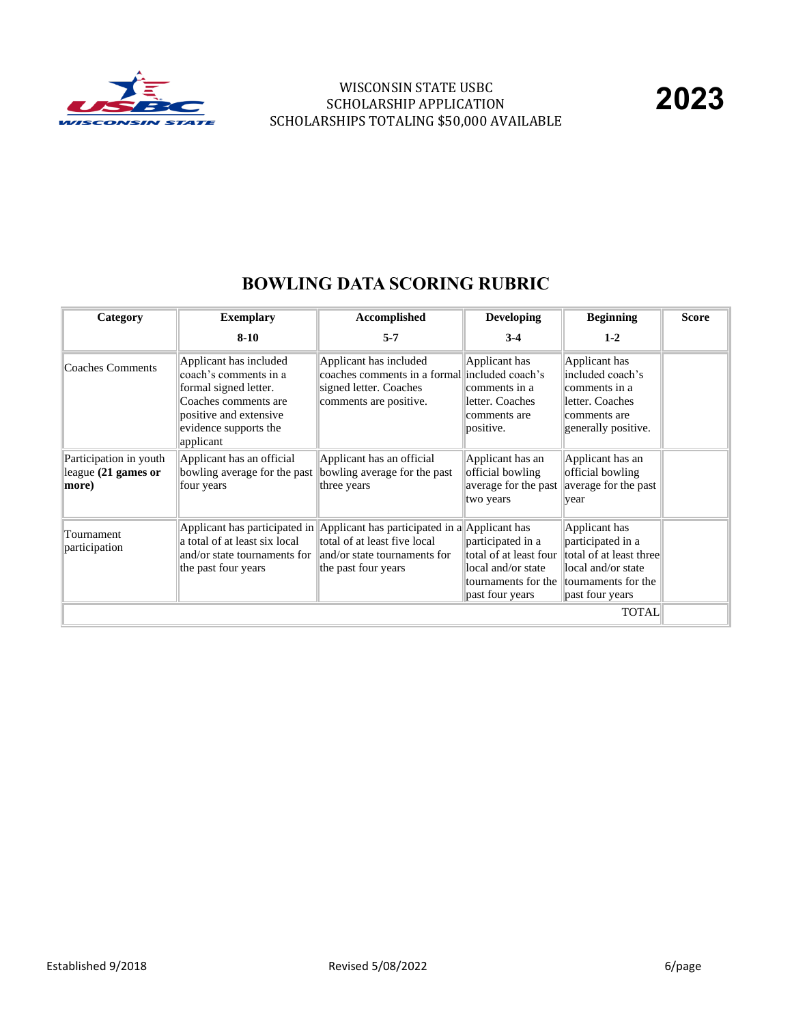

| Category                                               | <b>Exemplary</b>                                                                                                                                                 | Accomplished                                                                                                                                                       | <b>Developing</b>                                                                                           | <b>Beginning</b>                                                                                                              | <b>Score</b> |
|--------------------------------------------------------|------------------------------------------------------------------------------------------------------------------------------------------------------------------|--------------------------------------------------------------------------------------------------------------------------------------------------------------------|-------------------------------------------------------------------------------------------------------------|-------------------------------------------------------------------------------------------------------------------------------|--------------|
|                                                        | $8 - 10$                                                                                                                                                         | $5 - 7$                                                                                                                                                            | $3-4$                                                                                                       | $1 - 2$                                                                                                                       |              |
| Coaches Comments                                       | Applicant has included<br>coach's comments in a<br>formal signed letter.<br>Coaches comments are<br>positive and extensive<br>evidence supports the<br>applicant | Applicant has included<br>coaches comments in a formal included coach's<br>signed letter. Coaches<br>comments are positive.                                        | Applicant has<br>comments in a<br>letter. Coaches<br>comments are<br>positive.                              | Applicant has<br>included coach's<br>comments in a<br>letter. Coaches<br>comments are<br>generally positive.                  |              |
| Participation in youth<br>league (21 games or<br>more) | Applicant has an official<br>bowling average for the past<br>four years                                                                                          | Applicant has an official<br>bowling average for the past<br>three years                                                                                           | Applicant has an<br>official bowling<br>average for the past<br>two years                                   | Applicant has an<br>official bowling<br>average for the past<br>year                                                          |              |
| Tournament<br>participation                            | a total of at least six local<br>and/or state tournaments for<br>the past four years                                                                             | Applicant has participated in Applicant has participated in a Applicant has<br>total of at least five local<br>and/or state tournaments for<br>the past four years | participated in a<br>total of at least four<br>local and/or state<br>tournaments for the<br>past four years | Applicant has<br>participated in a<br>total of at least three<br>local and/or state<br>tournaments for the<br>past four years |              |
|                                                        |                                                                                                                                                                  |                                                                                                                                                                    |                                                                                                             | <b>TOTAL</b>                                                                                                                  |              |

## **BOWLING DATA SCORING RUBRIC**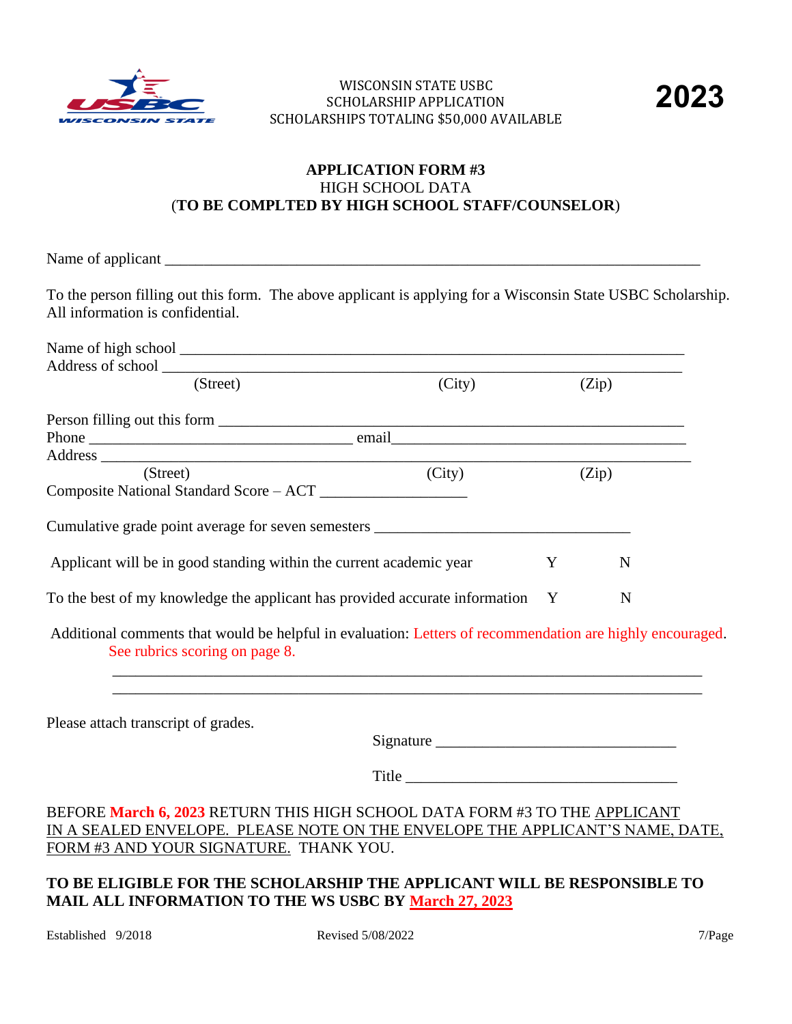



## **APPLICATION FORM #3** HIGH SCHOOL DATA (**TO BE COMPLTED BY HIGH SCHOOL STAFF/COUNSELOR**)

Name of applicant \_\_\_\_\_\_\_\_\_\_\_\_\_\_\_\_\_\_\_\_\_\_\_\_\_\_\_\_\_\_\_\_\_\_\_\_\_\_\_\_\_\_\_\_\_\_\_\_\_\_\_\_\_\_\_\_\_\_\_\_\_\_\_\_\_\_\_\_\_

To the person filling out this form. The above applicant is applying for a Wisconsin State USBC Scholarship. All information is confidential.

| (Street)                                                                      | (City) |   | (Zip) |
|-------------------------------------------------------------------------------|--------|---|-------|
|                                                                               |        |   |       |
|                                                                               |        |   |       |
|                                                                               |        |   |       |
| (Street)                                                                      | (City) |   | (Zip) |
| Composite National Standard Score – ACT                                       |        |   |       |
| Cumulative grade point average for seven semesters                            |        |   |       |
| Applicant will be in good standing within the current academic year           |        | Y | N     |
| To the best of my knowledge the applicant has provided accurate information Y |        |   | N     |

Additional comments that would be helpful in evaluation: Letters of recommendation are highly encouraged. See rubrics scoring on page 8.

 \_\_\_\_\_\_\_\_\_\_\_\_\_\_\_\_\_\_\_\_\_\_\_\_\_\_\_\_\_\_\_\_\_\_\_\_\_\_\_\_\_\_\_\_\_\_\_\_\_\_\_\_\_\_\_\_\_\_\_\_\_\_\_\_\_\_\_\_\_\_\_\_\_\_\_\_ \_\_\_\_\_\_\_\_\_\_\_\_\_\_\_\_\_\_\_\_\_\_\_\_\_\_\_\_\_\_\_\_\_\_\_\_\_\_\_\_\_\_\_\_\_\_\_\_\_\_\_\_\_\_\_\_\_\_\_\_\_\_\_\_\_\_\_\_\_\_\_\_\_\_\_\_

Please attach transcript of grades.

Signature \_\_\_\_\_\_\_\_\_\_\_\_\_\_\_\_\_\_\_\_\_\_\_\_\_\_\_\_\_\_\_

Title  $\Box$ 

## BEFORE **March 6, 2023** RETURN THIS HIGH SCHOOL DATA FORM #3 TO THE APPLICANT IN A SEALED ENVELOPE. PLEASE NOTE ON THE ENVELOPE THE APPLICANT'S NAME, DATE, FORM #3 AND YOUR SIGNATURE. THANK YOU.

## **TO BE ELIGIBLE FOR THE SCHOLARSHIP THE APPLICANT WILL BE RESPONSIBLE TO MAIL ALL INFORMATION TO THE WS USBC BY March 27, 2023**

Established 9/2018 Revised 5/08/2022 7/Page